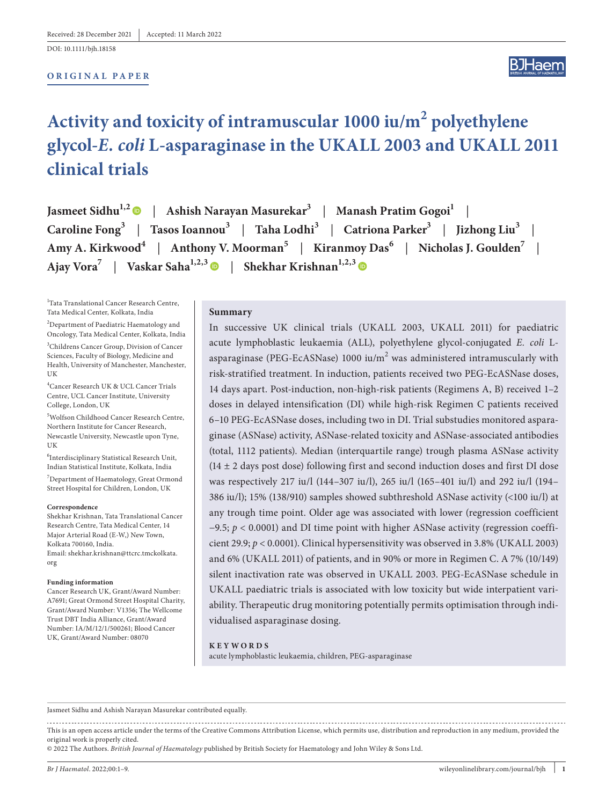DOI: 10.1111/bjh.18158

#### **ORIGINAL PAPER**

# **Activity and toxicity of intramuscular 1000 iu/m<sup>2</sup> polyethylene glycol-***E. coli* **L-asparaginase in the UKALL 2003 and UKALL 2011 clinical trials**

| Jasmeet Sidhu <sup>1,2</sup> •   Ashish Narayan Masurekar <sup>3</sup>   Manash Pratim Gogoi <sup>1</sup>                                   |
|---------------------------------------------------------------------------------------------------------------------------------------------|
| Caroline Fong <sup>3</sup>   Tasos Ioannou <sup>3</sup>   Taha Lodhi <sup>3</sup>   Catriona Parker <sup>3</sup>   Jizhong Liu <sup>3</sup> |
| Amy A. Kirkwood <sup>4</sup>   Anthony V. Moorman <sup>5</sup>   Kiranmoy Das <sup>6</sup>   Nicholas J. Goulden <sup>7</sup>               |
| Ajay Vora <sup>7</sup>   Vaskar Saha <sup>1,2,3</sup>   Shekhar Krishnan <sup>1,2,3</sup>   ©                                               |

<sup>1</sup>Tata Translational Cancer Research Centre, Tata Medical Center, Kolkata, India

<sup>2</sup>Department of Paediatric Haematology and Oncology, Tata Medical Center, Kolkata, India

3 Childrens Cancer Group, Division of Cancer Sciences, Faculty of Biology, Medicine and Health, University of Manchester, Manchester, UK

4 Cancer Research UK & UCL Cancer Trials Centre, UCL Cancer Institute, University College, London, UK

5 Wolfson Childhood Cancer Research Centre, Northern Institute for Cancer Research, Newcastle University, Newcastle upon Tyne, UK

6 Interdisciplinary Statistical Research Unit, Indian Statistical Institute, Kolkata, India

7 Department of Haematology, Great Ormond Street Hospital for Children, London, UK

#### **Correspondence**

Shekhar Krishnan, Tata Translational Cancer Research Centre, Tata Medical Center, 14 Major Arterial Road (E-W,) New Town, Kolkata 700160, India. Email: [shekhar.krishnan@ttcrc.tmckolkata.](mailto:shekhar.krishnan@ttcrc.tmckolkata.org) [org](mailto:shekhar.krishnan@ttcrc.tmckolkata.org)

#### **Funding information**

Cancer Research UK, Grant/Award Number: A7691; Great Ormond Street Hospital Charity, Grant/Award Number: V1356; The Wellcome Trust DBT India Alliance, Grant/Award Number: IA/M/12/1/500261; Blood Cancer UK, Grant/Award Number: 08070

#### **Summary**

In successive UK clinical trials (UKALL 2003, UKALL 2011) for paediatric acute lymphoblastic leukaemia (ALL), polyethylene glycol-conjugated *E. coli* Lasparaginase (PEG-EcASNase) 1000 iu/m $^2$  was administered intramuscularly with risk-stratified treatment. In induction, patients received two PEG-EcASNase doses, 14 days apart. Post-induction, non-high-risk patients (Regimens A, B) received 1–2 doses in delayed intensification (DI) while high-risk Regimen C patients received 6–10 PEG-EcASNase doses, including two in DI. Trial substudies monitored asparaginase (ASNase) activity, ASNase-related toxicity and ASNase-associated antibodies (total, 1112 patients). Median (interquartile range) trough plasma ASNase activity  $(14 \pm 2$  days post dose) following first and second induction doses and first DI dose was respectively 217 iu/l (144–307 iu/l), 265 iu/l (165–401 iu/l) and 292 iu/l (194– 386 iu/l); 15% (138/910) samples showed subthreshold ASNase activity (<100 iu/l) at any trough time point. Older age was associated with lower (regression coefficient −9.5; *p* < 0.0001) and DI time point with higher ASNase activity (regression coefficient 29.9; *p* < 0.0001). Clinical hypersensitivity was observed in 3.8% (UKALL 2003) and 6% (UKALL 2011) of patients, and in 90% or more in Regimen C. A 7% (10/149) silent inactivation rate was observed in UKALL 2003. PEG-EcASNase schedule in UKALL paediatric trials is associated with low toxicity but wide interpatient variability. Therapeutic drug monitoring potentially permits optimisation through individualised asparaginase dosing.

#### **KEYWORDS**

acute lymphoblastic leukaemia, children, PEG-asparaginase

Jasmeet Sidhu and Ashish Narayan Masurekar contributed equally.

This is an open access article under the terms of the [Creative Commons Attribution](http://creativecommons.org/licenses/by/4.0/) License, which permits use, distribution and reproduction in any medium, provided the original work is properly cited.

© 2022 The Authors. *British Journal of Haematology* published by British Society for Haematology and John Wiley & Sons Ltd.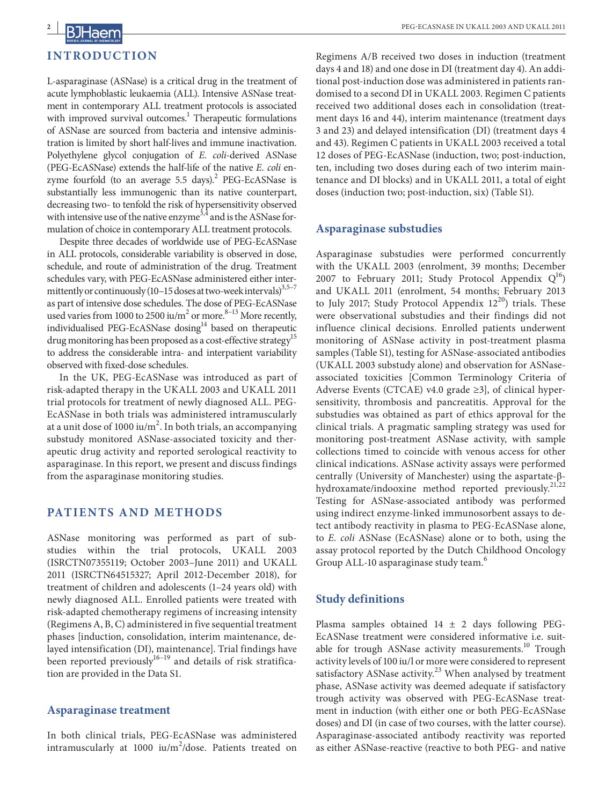

L-asparaginase (ASNase) is a critical drug in the treatment of acute lymphoblastic leukaemia (ALL). Intensive ASNase treatment in contemporary ALL treatment protocols is associated with improved survival outcomes.<sup>1</sup> Therapeutic formulations of ASNase are sourced from bacteria and intensive administration is limited by short half-lives and immune inactivation. Polyethylene glycol conjugation of *E. coli*-derived ASNase (PEG-EcASNase) extends the half-life of the native *E. coli* enzyme fourfold (to an average  $5.5 \text{ days}$ ).<sup>2</sup> PEG-EcASNase is substantially less immunogenic than its native counterpart, decreasing two- to tenfold the risk of hypersensitivity observed with intensive use of the native enzyme<sup>3,4</sup> and is the ASNase formulation of choice in contemporary ALL treatment protocols.

Despite three decades of worldwide use of PEG-EcASNase in ALL protocols, considerable variability is observed in dose, schedule, and route of administration of the drug. Treatment schedules vary, with PEG-EcASNase administered either intermittently or continuously (10–15 doses at two-week intervals)<sup>3,5–7</sup> as part of intensive dose schedules. The dose of PEG-EcASNase used varies from 1000 to 2500 iu/ $m^2$  or more.<sup>8-13</sup> More recently, individualised PEG-EcASNase dosing<sup>14</sup> based on therapeutic drug monitoring has been proposed as a cost-effective strategy<sup>15</sup> to address the considerable intra- and interpatient variability observed with fixed-dose schedules.

In the UK, PEG-EcASNase was introduced as part of risk-adapted therapy in the UKALL 2003 and UKALL 2011 trial protocols for treatment of newly diagnosed ALL. PEG-EcASNase in both trials was administered intramuscularly at a unit dose of 1000 iu/m<sup>2</sup>. In both trials, an accompanying substudy monitored ASNase-associated toxicity and therapeutic drug activity and reported serological reactivity to asparaginase. In this report, we present and discuss findings from the asparaginase monitoring studies.

# **PATIENTS AND METHODS**

ASNase monitoring was performed as part of substudies within the trial protocols, UKALL 2003 (ISRCTN07355119; October 2003–June 2011) and UKALL 2011 (ISRCTN64515327; April 2012-December 2018), for treatment of children and adolescents (1–24 years old) with newly diagnosed ALL. Enrolled patients were treated with risk-adapted chemotherapy regimens of increasing intensity (Regimens A, B, C) administered in five sequential treatment phases [induction, consolidation, interim maintenance, delayed intensification (DI), maintenance]. Trial findings have been reported previously $^{16-19}$  and details of risk stratification are provided in the Data S1.

#### **Asparaginase treatment**

In both clinical trials, PEG-EcASNase was administered intramuscularly at 1000 iu/m<sup>2</sup>/dose. Patients treated on

Regimens A/B received two doses in induction (treatment days 4 and 18) and one dose in DI (treatment day 4). An additional post-induction dose was administered in patients randomised to a second DI in UKALL 2003. Regimen C patients received two additional doses each in consolidation (treatment days 16 and 44), interim maintenance (treatment days 3 and 23) and delayed intensification (DI) (treatment days 4 and 43). Regimen C patients in UKALL 2003 received a total 12 doses of PEG-EcASNase (induction, two; post-induction, ten, including two doses during each of two interim maintenance and DI blocks) and in UKALL 2011, a total of eight doses (induction two; post-induction, six) (Table S1).

#### **Asparaginase substudies**

Asparaginase substudies were performed concurrently with the UKALL 2003 (enrolment, 39 months; December 2007 to February 2011; Study Protocol Appendix  $Q^{16}$ ) and UKALL 2011 (enrolment, 54 months; February 2013 to July 2017; Study Protocol Appendix  $12^{20}$ ) trials. These were observational substudies and their findings did not influence clinical decisions. Enrolled patients underwent monitoring of ASNase activity in post-treatment plasma samples (Table S1), testing for ASNase-associated antibodies (UKALL 2003 substudy alone) and observation for ASNaseassociated toxicities [Common Terminology Criteria of Adverse Events (CTCAE) v4.0 grade  $\geq$ 3], of clinical hypersensitivity, thrombosis and pancreatitis. Approval for the substudies was obtained as part of ethics approval for the clinical trials. A pragmatic sampling strategy was used for monitoring post-treatment ASNase activity, with sample collections timed to coincide with venous access for other clinical indications. ASNase activity assays were performed centrally (University of Manchester) using the aspartate-βhydroxamate/indooxine method reported previously.21,22 Testing for ASNase-associated antibody was performed using indirect enzyme-linked immunosorbent assays to detect antibody reactivity in plasma to PEG-EcASNase alone, to *E. coli* ASNase (EcASNase) alone or to both, using the assay protocol reported by the Dutch Childhood Oncology Group ALL-10 asparaginase study team.<sup>6</sup>

# **Study definitions**

Plasma samples obtained  $14 \pm 2$  days following PEG-EcASNase treatment were considered informative i.e. suitable for trough ASNase activity measurements.<sup>10</sup> Trough activity levels of 100 iu/l or more were considered to represent satisfactory ASNase activity. $2<sup>3</sup>$  When analysed by treatment phase, ASNase activity was deemed adequate if satisfactory trough activity was observed with PEG-EcASNase treatment in induction (with either one or both PEG-EcASNase doses) and DI (in case of two courses, with the latter course). Asparaginase-associated antibody reactivity was reported as either ASNase-reactive (reactive to both PEG- and native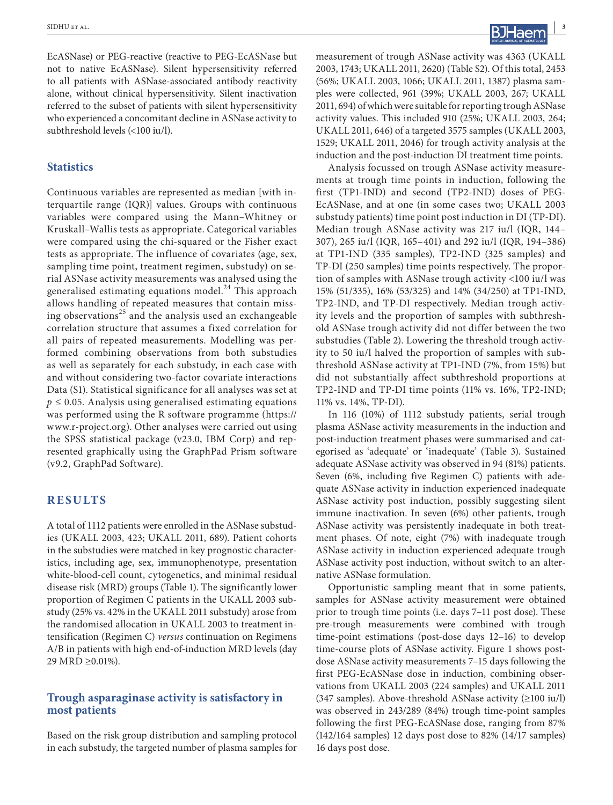EcASNase) or PEG-reactive (reactive to PEG-EcASNase but not to native EcASNase). Silent hypersensitivity referred to all patients with ASNase-associated antibody reactivity alone, without clinical hypersensitivity. Silent inactivation referred to the subset of patients with silent hypersensitivity who experienced a concomitant decline in ASNase activity to subthreshold levels (<100 iu/l).

# **Statistics**

Continuous variables are represented as median [with interquartile range (IQR)] values. Groups with continuous variables were compared using the Mann–Whitney or Kruskall–Wallis tests as appropriate. Categorical variables were compared using the chi-squared or the Fisher exact tests as appropriate. The influence of covariates (age, sex, sampling time point, treatment regimen, substudy) on serial ASNase activity measurements was analysed using the generalised estimating equations model.<sup>24</sup> This approach allows handling of repeated measures that contain missing observations<sup>25</sup> and the analysis used an exchangeable correlation structure that assumes a fixed correlation for all pairs of repeated measurements. Modelling was performed combining observations from both substudies as well as separately for each substudy, in each case with and without considering two-factor covariate interactions Data (S1). Statistical significance for all analyses was set at  $p \leq 0.05$ . Analysis using generalised estimating equations was performed using the R software programme [\(https://](https://www.r-­project.org) [www.r-project.org\)](https://www.r-­project.org). Other analyses were carried out using the SPSS statistical package (v23.0, IBM Corp) and represented graphically using the GraphPad Prism software (v9.2, GraphPad Software).

# **RESULTS**

A total of 1112 patients were enrolled in the ASNase substudies (UKALL 2003, 423; UKALL 2011, 689). Patient cohorts in the substudies were matched in key prognostic characteristics, including age, sex, immunophenotype, presentation white-blood-cell count, cytogenetics, and minimal residual disease risk (MRD) groups (Table 1). The significantly lower proportion of Regimen C patients in the UKALL 2003 substudy (25% vs. 42% in the UKALL 2011 substudy) arose from the randomised allocation in UKALL 2003 to treatment intensification (Regimen C) *versus* continuation on Regimens A/B in patients with high end-of-induction MRD levels (day 29 MRD ≥0.01%).

# **Trough asparaginase activity is satisfactory in most patients**

Based on the risk group distribution and sampling protocol in each substudy, the targeted number of plasma samples for

measurement of trough ASNase activity was 4363 (UKALL 2003, 1743; UKALL 2011, 2620) (Table S2). Of this total, 2453 (56%; UKALL 2003, 1066; UKALL 2011, 1387) plasma samples were collected, 961 (39%; UKALL 2003, 267; UKALL 2011, 694) of which were suitable for reporting trough ASNase activity values. This included 910 (25%; UKALL 2003, 264; UKALL 2011, 646) of a targeted 3575 samples (UKALL 2003, 1529; UKALL 2011, 2046) for trough activity analysis at the induction and the post-induction DI treatment time points.

Analysis focussed on trough ASNase activity measurements at trough time points in induction, following the first (TP1-IND) and second (TP2-IND) doses of PEG-EcASNase, and at one (in some cases two; UKALL 2003 substudy patients) time point post induction in DI (TP-DI). Median trough ASNase activity was 217 iu/l (IQR, 144– 307), 265 iu/l (IQR, 165–401) and 292 iu/l (IQR, 194–386) at TP1-IND (335 samples), TP2-IND (325 samples) and TP-DI (250 samples) time points respectively. The proportion of samples with ASNase trough activity <100 iu/l was 15% (51/335), 16% (53/325) and 14% (34/250) at TP1-IND, TP2-IND, and TP-DI respectively. Median trough activity levels and the proportion of samples with subthreshold ASNase trough activity did not differ between the two substudies (Table 2). Lowering the threshold trough activity to 50 iu/l halved the proportion of samples with subthreshold ASNase activity at TP1-IND (7%, from 15%) but did not substantially affect subthreshold proportions at TP2-IND and TP-DI time points (11% vs. 16%, TP2-IND; 11% vs. 14%, TP-DI).

In 116 (10%) of 1112 substudy patients, serial trough plasma ASNase activity measurements in the induction and post-induction treatment phases were summarised and categorised as 'adequate' or 'inadequate' (Table 3). Sustained adequate ASNase activity was observed in 94 (81%) patients. Seven (6%, including five Regimen C) patients with adequate ASNase activity in induction experienced inadequate ASNase activity post induction, possibly suggesting silent immune inactivation. In seven (6%) other patients, trough ASNase activity was persistently inadequate in both treatment phases. Of note, eight (7%) with inadequate trough ASNase activity in induction experienced adequate trough ASNase activity post induction, without switch to an alternative ASNase formulation.

Opportunistic sampling meant that in some patients, samples for ASNase activity measurement were obtained prior to trough time points (i.e. days 7–11 post dose). These pre-trough measurements were combined with trough time-point estimations (post-dose days 12–16) to develop time-course plots of ASNase activity. Figure 1 shows postdose ASNase activity measurements 7–15 days following the first PEG-EcASNase dose in induction, combining observations from UKALL 2003 (224 samples) and UKALL 2011 (347 samples). Above-threshold ASNase activity (≥100 iu/l) was observed in 243/289 (84%) trough time-point samples following the first PEG-EcASNase dose, ranging from 87% (142/164 samples) 12 days post dose to 82% (14/17 samples) 16 days post dose.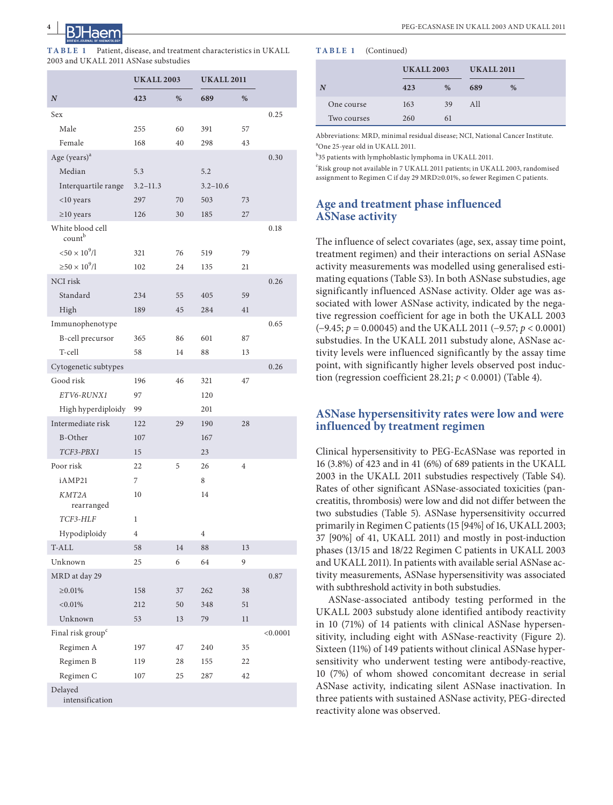

**TABLE 1** Patient, disease, and treatment characteristics in UKALL 2003 and UKALL 2011 ASNase substudies

|                               | <b>UKALL 2003</b> |      | <b>UKALL 2011</b> |                |          |
|-------------------------------|-------------------|------|-------------------|----------------|----------|
| $\boldsymbol{N}$              | 423               | $\%$ | 689               | $\%$           |          |
| Sex                           |                   |      |                   |                | 0.25     |
| Male                          | 255               | 60   | 391               | 57             |          |
| Female                        | 168               | 40   | 298               | 43             |          |
| Age (years) <sup>a</sup>      |                   |      |                   |                | 0.30     |
| Median                        | 5.3               |      | 5.2               |                |          |
| Interquartile range           | $3.2 - 11.3$      |      | $3.2 - 10.6$      |                |          |
| $<$ 10 years                  | 297               | 70   | 503               | 73             |          |
| $\geq$ 10 years               | 126               | 30   | 185               | 27             |          |
| White blood cell<br>countb    |                   |      |                   |                | 0.18     |
| $< 50 \times 10^{9}$ /l       | 321               | 76   | 519               | 79             |          |
| $\geq 50 \times 10^9/l$       | 102               | 24   | 135               | 21             |          |
| NCI risk                      |                   |      |                   |                | 0.26     |
| Standard                      | 234               | 55   | 405               | 59             |          |
| High                          | 189               | 45   | 284               | 41             |          |
| Immunophenotype               |                   |      |                   |                | 0.65     |
| B-cell precursor              | 365               | 86   | 601               | 87             |          |
| T-cell                        | 58                | 14   | 88                | 13             |          |
| Cytogenetic subtypes          |                   |      |                   |                | 0.26     |
| Good risk                     | 196               | 46   | 321               | 47             |          |
| ETV6-RUNX1                    | 97                |      | 120               |                |          |
| High hyperdiploidy            | 99                |      | 201               |                |          |
| Intermediate risk             | 122               | 29   | 190               | 28             |          |
| B-Other                       | 107               |      | 167               |                |          |
| TCF3-PBX1                     | 15                |      | 23                |                |          |
| Poor risk                     | 22                | 5    | 26                | $\overline{4}$ |          |
| iAMP21                        | 7                 |      | 8                 |                |          |
| KMT2A<br>rearranged           | 10                |      | 14                |                |          |
| TCF3-HLF                      | 1                 |      |                   |                |          |
| Hypodiploidy                  | $\overline{4}$    |      | $\overline{4}$    |                |          |
| T-ALL                         | 58                | 14   | 88                | 13             |          |
| Unknown                       | 25                | 6    | 64                | 9              |          |
| MRD at day 29                 |                   |      |                   |                | 0.87     |
| $\geq 0.01\%$                 | 158               | 37   | 262               | 38             |          |
| $< 0.01\%$                    | 212               | 50   | 348               | 51             |          |
| Unknown                       | 53                | 13   | 79                | 11             |          |
| Final risk group <sup>c</sup> |                   |      |                   |                | < 0.0001 |
| Regimen A                     | 197               | 47   | 240               | 35             |          |
| Regimen B                     | 119               | 28   | 155               | 22             |          |
| Regimen C                     | 107               | 25   | 287               | 42             |          |
| Delayed<br>intensification    |                   |      |                   |                |          |

#### **TABLE 1** (Continued)

|             |     | <b>UKALL 2003</b> |     | <b>UKALL 2011</b> |  |
|-------------|-----|-------------------|-----|-------------------|--|
| N           | 423 | %                 | 689 | %                 |  |
| One course  | 163 | 39                | All |                   |  |
| Two courses | 260 | 61                |     |                   |  |

Abbreviations: MRD, minimal residual disease; NCI, National Cancer Institute. a One 25-year old in UKALL 2011.

b 35 patients with lymphoblastic lymphoma in UKALL 2011.

c Risk group not available in 7 UKALL 2011 patients; in UKALL 2003, randomised assignment to Regimen C if day 29 MRD≥0.01%, so fewer Regimen C patients.

# **Age and treatment phase influenced ASNase activity**

The influence of select covariates (age, sex, assay time point, treatment regimen) and their interactions on serial ASNase activity measurements was modelled using generalised estimating equations (Table S3). In both ASNase substudies, age significantly influenced ASNase activity. Older age was associated with lower ASNase activity, indicated by the negative regression coefficient for age in both the UKALL 2003 (−9.45; *p* = 0.00045) and the UKALL 2011 (−9.57; *p* < 0.0001) substudies. In the UKALL 2011 substudy alone, ASNase activity levels were influenced significantly by the assay time point, with significantly higher levels observed post induction (regression coefficient 28.21;  $p < 0.0001$ ) (Table 4).

# **ASNase hypersensitivity rates were low and were influenced by treatment regimen**

Clinical hypersensitivity to PEG-EcASNase was reported in 16 (3.8%) of 423 and in 41 (6%) of 689 patients in the UKALL 2003 in the UKALL 2011 substudies respectively (Table S4). Rates of other significant ASNase-associated toxicities (pancreatitis, thrombosis) were low and did not differ between the two substudies (Table 5). ASNase hypersensitivity occurred primarily in Regimen C patients (15 [94%] of 16, UKALL 2003; 37 [90%] of 41, UKALL 2011) and mostly in post-induction phases (13/15 and 18/22 Regimen C patients in UKALL 2003 and UKALL 2011). In patients with available serial ASNase activity measurements, ASNase hypersensitivity was associated with subthreshold activity in both substudies.

ASNase-associated antibody testing performed in the UKALL 2003 substudy alone identified antibody reactivity in 10 (71%) of 14 patients with clinical ASNase hypersensitivity, including eight with ASNase-reactivity (Figure 2). Sixteen (11%) of 149 patients without clinical ASNase hypersensitivity who underwent testing were antibody-reactive, 10 (7%) of whom showed concomitant decrease in serial ASNase activity, indicating silent ASNase inactivation. In three patients with sustained ASNase activity, PEG-directed reactivity alone was observed.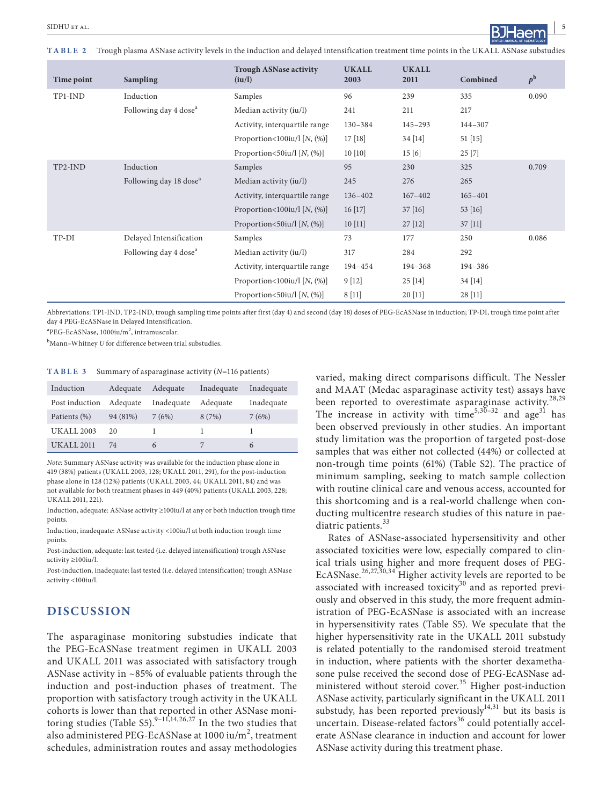**TABLE 2** Trough plasma ASNase activity levels in the induction and delayed intensification treatment time points in the UKALL ASNase substudies

| Time point | <b>Sampling</b>                    | <b>Trough ASNase activity</b><br>(iu/l) | <b>UKALL</b><br>2003 | <b>UKALL</b><br>2011 | Combined    | $p^{\rm b}$ |
|------------|------------------------------------|-----------------------------------------|----------------------|----------------------|-------------|-------------|
| TP1-IND    | Induction                          | Samples                                 | 96                   | 239                  | 335         | 0.090       |
|            | Following day 4 dose <sup>a</sup>  | Median activity (iu/l)                  | 241                  | 211                  | 217         |             |
|            |                                    | Activity, interquartile range           | $130 - 384$          | $145 - 293$          | 144-307     |             |
|            |                                    | Proportion<100iu/l $[N, (\%)]$          | 17[18]               | 34 [14]              | 51 [15]     |             |
|            |                                    | Proportion<50iu/l $[N, (\%)]$           | 10[10]               | 15[6]                | 25 [7]      |             |
| TP2-IND    | Induction                          | Samples                                 | 95                   | 230                  | 325         | 0.709       |
|            | Following day 18 dose <sup>a</sup> | Median activity (iu/l)                  | 245                  | 276                  | 265         |             |
|            |                                    | Activity, interquartile range           | $136 - 402$          | $167 - 402$          | $165 - 401$ |             |
|            |                                    | Proportion<100iu/l $[N, (\%)]$          | 16[17]               | 37[16]               | 53 [16]     |             |
|            |                                    | Proportion $\leq 50$ iu/l [N, $(\%)$ ]  | 10[11]               | $27$ [12]            | $37$ [11]   |             |
| TP-DI      | Delayed Intensification            | Samples                                 | 73                   | 177                  | 250         | 0.086       |
|            | Following day 4 dose <sup>a</sup>  | Median activity (iu/l)                  | 317                  | 284                  | 292         |             |
|            |                                    | Activity, interquartile range           | 194-454              | 194-368              | 194-386     |             |
|            |                                    | Proportion<100iu/l $[N, (\%)]$          | 9[12]                | 25[14]               | 34 [14]     |             |
|            |                                    | Proportion <50iu/l $[N, (\%)]$          | 8[11]                | 20 [11]              | $28$ [11]   |             |

Abbreviations: TP1-IND, TP2-IND, trough sampling time points after first (day 4) and second (day 18) doses of PEG-EcASNase in induction; TP-DI, trough time point after day 4 PEG-EcASNase in Delayed Intensification.

 ${}^{\rm a}{\rm PEG\text{-}EcASNase}$ , 1000iu/m<sup>2</sup>, intramuscular.

b Mann–Whitney *U* for difference between trial substudies.

**TABLE 3** Summary of asparaginase activity (*N*=116 patients)

| Induction         | Adequate | Adequate   | Inadequate | Inadequate |
|-------------------|----------|------------|------------|------------|
| Post induction    | Adequate | Inadequate | Adequate   | Inadequate |
| Patients (%)      | 94 (81%) | 7(6%)      | 8(7%)      | 7(6%)      |
| <b>UKALL 2003</b> | 20       |            |            |            |
| <b>UKALL 2011</b> | 74       | 6          |            | 6          |

*Note:* Summary ASNase activity was available for the induction phase alone in 419 (38%) patients (UKALL 2003, 128; UKALL 2011, 291), for the post-induction phase alone in 128 (12%) patients (UKALL 2003, 44; UKALL 2011, 84) and was not available for both treatment phases in 449 (40%) patients (UKALL 2003, 228; UKALL 2011, 221).

Induction, adequate: ASNase activity ≥100iu/l at any or both induction trough time points.

Induction, inadequate: ASNase activity <100iu/l at both induction trough time points.

Post-induction, adequate: last tested (i.e. delayed intensification) trough ASNase activity ≥100iu/l.

Post-induction, inadequate: last tested (i.e. delayed intensification) trough ASNase activity <100iu/l.

# **DISCUSSION**

The asparaginase monitoring substudies indicate that the PEG-EcASNase treatment regimen in UKALL 2003 and UKALL 2011 was associated with satisfactory trough ASNase activity in ~85% of evaluable patients through the induction and post-induction phases of treatment. The proportion with satisfactory trough activity in the UKALL cohorts is lower than that reported in other ASNase monitoring studies (Table S5).<sup>9–11,14,26,27</sup> In the two studies that also administered PEG-EcASNase at 1000 iu/m<sup>2</sup>, treatment schedules, administration routes and assay methodologies

varied, making direct comparisons difficult. The Nessler and MAAT (Medac asparaginase activity test) assays have been reported to overestimate asparaginase activity.<sup>28,29</sup> The increase in activity with time<sup>5,30–32</sup> and age<sup>31</sup> has been observed previously in other studies. An important study limitation was the proportion of targeted post-dose samples that was either not collected (44%) or collected at non-trough time points (61%) (Table S2). The practice of minimum sampling, seeking to match sample collection with routine clinical care and venous access, accounted for this shortcoming and is a real-world challenge when conducting multicentre research studies of this nature in paediatric patients.<sup>33</sup>

Rates of ASNase-associated hypersensitivity and other associated toxicities were low, especially compared to clinical trials using higher and more frequent doses of PEG-EcASNase.<sup>26,27,30,34</sup> Higher activity levels are reported to be associated with increased toxicity<sup>30</sup> and as reported previously and observed in this study, the more frequent administration of PEG-EcASNase is associated with an increase in hypersensitivity rates (Table S5). We speculate that the higher hypersensitivity rate in the UKALL 2011 substudy is related potentially to the randomised steroid treatment in induction, where patients with the shorter dexamethasone pulse received the second dose of PEG-EcASNase administered without steroid cover. $35$  Higher post-induction ASNase activity, particularly significant in the UKALL 2011 substudy, has been reported previously $14,31$  but its basis is uncertain. Disease-related factors $36$  could potentially accelerate ASNase clearance in induction and account for lower ASNase activity during this treatment phase.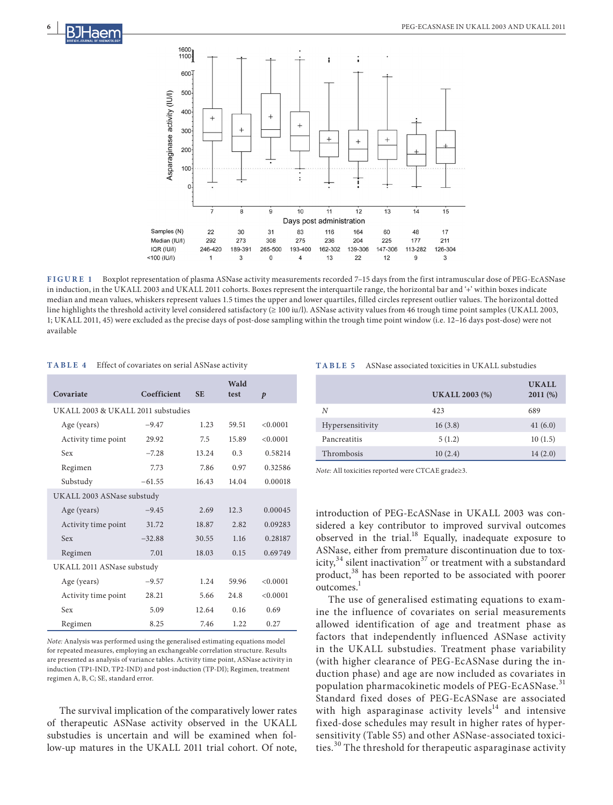

**FIGURE 1** Boxplot representation of plasma ASNase activity measurements recorded 7–15 days from the first intramuscular dose of PEG-EcASNase in induction, in the UKALL 2003 and UKALL 2011 cohorts. Boxes represent the interquartile range, the horizontal bar and '+' within boxes indicate median and mean values, whiskers represent values 1.5 times the upper and lower quartiles, filled circles represent outlier values. The horizontal dotted line highlights the threshold activity level considered satisfactory (≥ 100 iu/l). ASNase activity values from 46 trough time point samples (UKALL 2003, 1; UKALL 2011, 45) were excluded as the precise days of post-dose sampling within the trough time point window (i.e. 12–16 days post-dose) were not available

| TABLE 4 |  | Effect of covariates on serial ASNase activity |  |
|---------|--|------------------------------------------------|--|
|---------|--|------------------------------------------------|--|

|                                    |             |           | Wald  |                  |  |  |
|------------------------------------|-------------|-----------|-------|------------------|--|--|
| Covariate                          | Coefficient | <b>SE</b> | test  | $\boldsymbol{p}$ |  |  |
| UKALL 2003 & UKALL 2011 substudies |             |           |       |                  |  |  |
| Age (years)                        | $-9.47$     | 1.23      | 59.51 | < 0.0001         |  |  |
| Activity time point                | 29.92       | 7.5       | 15.89 | < 0.0001         |  |  |
| Sex                                | $-7.28$     | 13.24     | 0.3   | 0.58214          |  |  |
| Regimen                            | 7.73        | 7.86      | 0.97  | 0.32586          |  |  |
| Substudy                           | $-61.55$    | 16.43     | 14.04 | 0.00018          |  |  |
| UKALL 2003 ASNase substudy         |             |           |       |                  |  |  |
| Age (years)                        | $-9.45$     | 2.69      | 12.3  | 0.00045          |  |  |
| Activity time point                | 31.72       | 18.87     | 2.82  | 0.09283          |  |  |
| <b>Sex</b>                         | $-32.88$    | 30.55     | 1.16  | 0.28187          |  |  |
| Regimen                            | 7.01        | 18.03     | 0.15  | 0.69749          |  |  |
| UKALL 2011 ASNase substudy         |             |           |       |                  |  |  |
| Age (years)                        | $-9.57$     | 1.24      | 59.96 | < 0.0001         |  |  |
| Activity time point                | 28.21       | 5.66      | 24.8  | < 0.0001         |  |  |
| Sex                                | 5.09        | 12.64     | 0.16  | 0.69             |  |  |
| Regimen                            | 8.25        | 7.46      | 1.22  | 0.27             |  |  |

*Note:* Analysis was performed using the generalised estimating equations model for repeated measures, employing an exchangeable correlation structure. Results are presented as analysis of variance tables. Activity time point, ASNase activity in induction (TP1-IND, TP2-IND) and post-induction (TP-DI); Regimen, treatment regimen A, B, C; SE, standard error.

The survival implication of the comparatively lower rates of therapeutic ASNase activity observed in the UKALL substudies is uncertain and will be examined when follow-up matures in the UKALL 2011 trial cohort. Of note,

**TABLE 5** ASNase associated toxicities in UKALL substudies

|                  | <b>UKALL 2003 (%)</b> | <b>UKALL</b><br>2011(%) |
|------------------|-----------------------|-------------------------|
| N                | 423                   | 689                     |
| Hypersensitivity | 16(3.8)               | 41(6.0)                 |
| Pancreatitis     | 5(1.2)                | 10(1.5)                 |
| Thrombosis       | 10(2.4)               | 14(2.0)                 |

*Note:* All toxicities reported were CTCAE grade≥3.

introduction of PEG-EcASNase in UKALL 2003 was considered a key contributor to improved survival outcomes observed in the trial.<sup>18</sup> Equally, inadequate exposure to ASNase, either from premature discontinuation due to toxicity,<sup>34</sup> silent inactivation<sup>37</sup> or treatment with a substandard product,<sup>38</sup> has been reported to be associated with poorer outcomes.<sup>1</sup>

The use of generalised estimating equations to examine the influence of covariates on serial measurements allowed identification of age and treatment phase as factors that independently influenced ASNase activity in the UKALL substudies. Treatment phase variability (with higher clearance of PEG-EcASNase during the induction phase) and age are now included as covariates in population pharmacokinetic models of PEG-EcASNase.<sup>31</sup> Standard fixed doses of PEG-EcASNase are associated with high asparaginase activity levels $14$  and intensive fixed-dose schedules may result in higher rates of hypersensitivity (Table S5) and other ASNase-associated toxicities.<sup>30</sup> The threshold for therapeutic asparaginase activity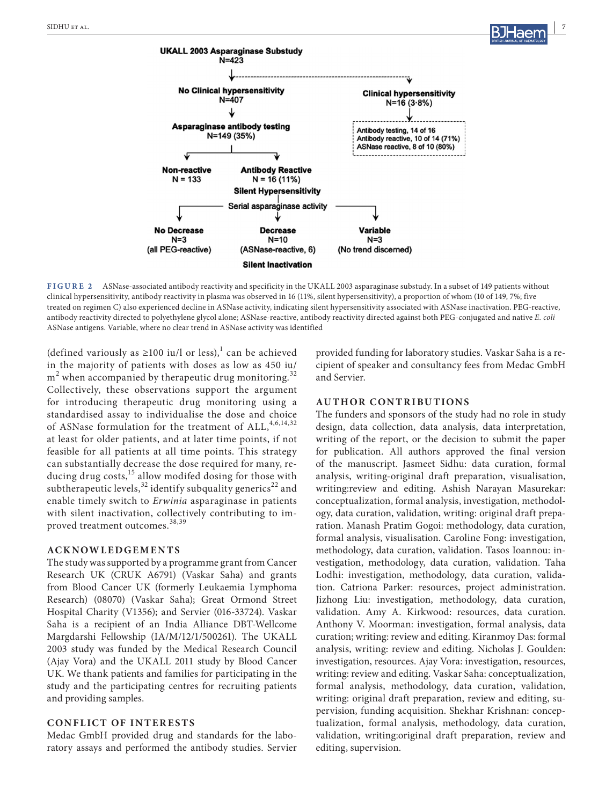

**FIGURE 2** ASNase-associated antibody reactivity and specificity in the UKALL 2003 asparaginase substudy. In a subset of 149 patients without clinical hypersensitivity, antibody reactivity in plasma was observed in 16 (11%, silent hypersensitivity), a proportion of whom (10 of 149, 7%; five treated on regimen C) also experienced decline in ASNase activity, indicating silent hypersensitivity associated with ASNase inactivation. PEG-reactive, antibody reactivity directed to polyethylene glycol alone; ASNase-reactive, antibody reactivity directed against both PEG-conjugated and native *E. coli* ASNase antigens. Variable, where no clear trend in ASNase activity was identified

(defined variously as  $\geq 100$  iu/l or less),<sup>1</sup> can be achieved in the majority of patients with doses as low as 450 iu/  $\text{m}^2$  when accompanied by therapeutic drug monitoring. $^{32}$ Collectively, these observations support the argument for introducing therapeutic drug monitoring using a standardised assay to individualise the dose and choice of ASNase formulation for the treatment of ALL,<sup>4,6,14,32</sup> at least for older patients, and at later time points, if not feasible for all patients at all time points. This strategy can substantially decrease the dose required for many, reducing drug costs, $^{15}$  allow modifed dosing for those with subtherapeutic levels,<sup>32</sup> identify subquality generics<sup>22</sup> and enable timely switch to *Erwinia* asparaginase in patients with silent inactivation, collectively contributing to improved treatment outcomes.<sup>38,39</sup>

#### **ACKNOWLEDGEMENTS**

The study was supported by a programme grant from Cancer Research UK (CRUK A6791) (Vaskar Saha) and grants from Blood Cancer UK (formerly Leukaemia Lymphoma Research) (08070) (Vaskar Saha); Great Ormond Street Hospital Charity (V1356); and Servier (016-33724). Vaskar Saha is a recipient of an India Alliance DBT-Wellcome Margdarshi Fellowship (IA/M/12/1/500261). The UKALL 2003 study was funded by the Medical Research Council (Ajay Vora) and the UKALL 2011 study by Blood Cancer UK. We thank patients and families for participating in the study and the participating centres for recruiting patients and providing samples.

### **CONFLICT OF INTERESTS**

Medac GmbH provided drug and standards for the laboratory assays and performed the antibody studies. Servier

provided funding for laboratory studies. Vaskar Saha is a recipient of speaker and consultancy fees from Medac GmbH and Servier.

#### **AUTHOR CONTRIBUTIONS**

The funders and sponsors of the study had no role in study design, data collection, data analysis, data interpretation, writing of the report, or the decision to submit the paper for publication. All authors approved the final version of the manuscript. Jasmeet Sidhu: data curation, formal analysis, writing-original draft preparation, visualisation, writing:review and editing. Ashish Narayan Masurekar: conceptualization, formal analysis, investigation, methodology, data curation, validation, writing: original draft preparation. Manash Pratim Gogoi: methodology, data curation, formal analysis, visualisation. Caroline Fong: investigation, methodology, data curation, validation. Tasos Ioannou: investigation, methodology, data curation, validation. Taha Lodhi: investigation, methodology, data curation, validation. Catriona Parker: resources, project administration. Jizhong Liu: investigation, methodology, data curation, validation. Amy A. Kirkwood: resources, data curation. Anthony V. Moorman: investigation, formal analysis, data curation; writing: review and editing. Kiranmoy Das: formal analysis, writing: review and editing. Nicholas J. Goulden: investigation, resources. Ajay Vora: investigation, resources, writing: review and editing. Vaskar Saha: conceptualization, formal analysis, methodology, data curation, validation, writing: original draft preparation, review and editing, supervision, funding acquisition. Shekhar Krishnan: conceptualization, formal analysis, methodology, data curation, validation, writing:original draft preparation, review and editing, supervision.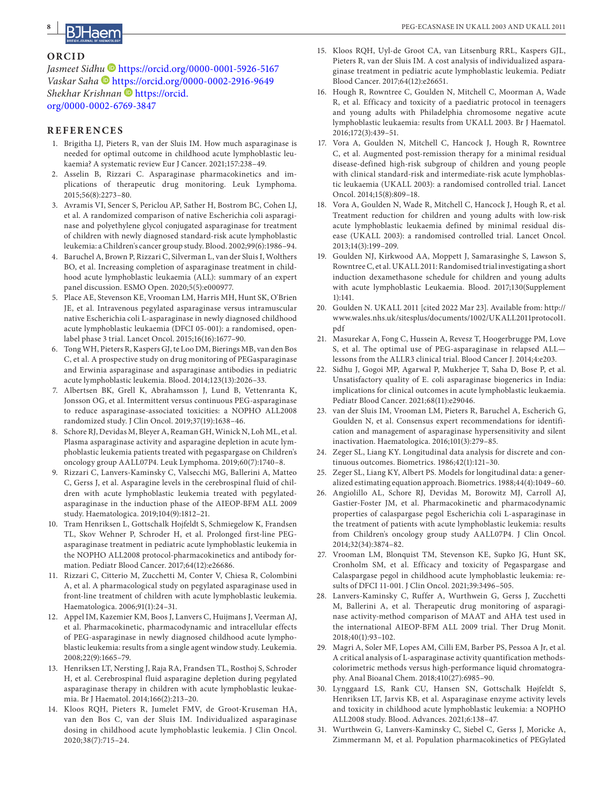#### **ORCID**

*Jasmeet Sid[hu](https://orcid.org/0000-0002-2916-9649)* <https://orcid.org/0000-0001-5926-5167> *Vaskar Saha* <https://orcid.org/0000-0002-2916-9649> **Shekhar Krishnan** [https://orcid.](https://orcid.org/0000-0002-6769-3847) [org/0000-0002-6769-3847](https://orcid.org/0000-0002-6769-3847)

#### **REFERENCES**

- 1. Brigitha LJ, Pieters R, van der Sluis IM. How much asparaginase is needed for optimal outcome in childhood acute lymphoblastic leukaemia? A systematic review Eur J Cancer. 2021;157:238–49.
- 2. Asselin B, Rizzari C. Asparaginase pharmacokinetics and implications of therapeutic drug monitoring. Leuk Lymphoma. 2015;56(8):2273–80.
- 3. Avramis VI, Sencer S, Periclou AP, Sather H, Bostrom BC, Cohen LJ, et al. A randomized comparison of native Escherichia coli asparaginase and polyethylene glycol conjugated asparaginase for treatment of children with newly diagnosed standard-risk acute lymphoblastic leukemia: a Children's cancer group study. Blood. 2002;99(6):1986–94.
- 4. Baruchel A, Brown P, Rizzari C, Silverman L, van der Sluis I, Wolthers BO, et al. Increasing completion of asparaginase treatment in childhood acute lymphoblastic leukaemia (ALL): summary of an expert panel discussion. ESMO Open. 2020;5(5):e000977.
- 5. Place AE, Stevenson KE, Vrooman LM, Harris MH, Hunt SK, O'Brien JE, et al. Intravenous pegylated asparaginase versus intramuscular native Escherichia coli L-asparaginase in newly diagnosed childhood acute lymphoblastic leukaemia (DFCI 05-001): a randomised, openlabel phase 3 trial. Lancet Oncol. 2015;16(16):1677–90.
- 6. Tong WH, Pieters R, Kaspers GJ, te Loo DM, Bierings MB, van den Bos C, et al. A prospective study on drug monitoring of PEGasparaginase and Erwinia asparaginase and asparaginase antibodies in pediatric acute lymphoblastic leukemia. Blood. 2014;123(13):2026–33.
- 7. Albertsen BK, Grell K, Abrahamsson J, Lund B, Vettenranta K, Jonsson OG, et al. Intermittent versus continuous PEG-asparaginase to reduce asparaginase-associated toxicities: a NOPHO ALL2008 randomized study. J Clin Oncol. 2019;37(19):1638–46.
- 8. Schore RJ, Devidas M, Bleyer A, Reaman GH, Winick N, Loh ML, et al. Plasma asparaginase activity and asparagine depletion in acute lymphoblastic leukemia patients treated with pegaspargase on Children's oncology group AALL07P4. Leuk Lymphoma. 2019;60(7):1740–8.
- 9. Rizzari C, Lanvers-Kaminsky C, Valsecchi MG, Ballerini A, Matteo C, Gerss J, et al. Asparagine levels in the cerebrospinal fluid of children with acute lymphoblastic leukemia treated with pegylatedasparaginase in the induction phase of the AIEOP-BFM ALL 2009 study. Haematologica. 2019;104(9):1812–21.
- 10. Tram Henriksen L, Gottschalk Hojfeldt S, Schmiegelow K, Frandsen TL, Skov Wehner P, Schroder H, et al. Prolonged first-line PEGasparaginase treatment in pediatric acute lymphoblastic leukemia in the NOPHO ALL2008 protocol-pharmacokinetics and antibody formation. Pediatr Blood Cancer. 2017;64(12):e26686.
- 11. Rizzari C, Citterio M, Zucchetti M, Conter V, Chiesa R, Colombini A, et al. A pharmacological study on pegylated asparaginase used in front-line treatment of children with acute lymphoblastic leukemia. Haematologica. 2006;91(1):24–31.
- 12. Appel IM, Kazemier KM, Boos J, Lanvers C, Huijmans J, Veerman AJ, et al. Pharmacokinetic, pharmacodynamic and intracellular effects of PEG-asparaginase in newly diagnosed childhood acute lymphoblastic leukemia: results from a single agent window study. Leukemia. 2008;22(9):1665–79.
- 13. Henriksen LT, Nersting J, Raja RA, Frandsen TL, Rosthoj S, Schroder H, et al. Cerebrospinal fluid asparagine depletion during pegylated asparaginase therapy in children with acute lymphoblastic leukaemia. Br J Haematol. 2014;166(2):213–20.
- 14. Kloos RQH, Pieters R, Jumelet FMV, de Groot-Kruseman HA, van den Bos C, van der Sluis IM. Individualized asparaginase dosing in childhood acute lymphoblastic leukemia. J Clin Oncol. 2020;38(7):715–24.
- 15. Kloos RQH, Uyl-de Groot CA, van Litsenburg RRL, Kaspers GJL, Pieters R, van der Sluis IM. A cost analysis of individualized asparaginase treatment in pediatric acute lymphoblastic leukemia. Pediatr Blood Cancer. 2017;64(12):e26651.
- 16. Hough R, Rowntree C, Goulden N, Mitchell C, Moorman A, Wade R, et al. Efficacy and toxicity of a paediatric protocol in teenagers and young adults with Philadelphia chromosome negative acute lymphoblastic leukaemia: results from UKALL 2003. Br J Haematol. 2016;172(3):439–51.
- 17. Vora A, Goulden N, Mitchell C, Hancock J, Hough R, Rowntree C, et al. Augmented post-remission therapy for a minimal residual disease-defined high-risk subgroup of children and young people with clinical standard-risk and intermediate-risk acute lymphoblastic leukaemia (UKALL 2003): a randomised controlled trial. Lancet Oncol. 2014;15(8):809–18.
- 18. Vora A, Goulden N, Wade R, Mitchell C, Hancock J, Hough R, et al. Treatment reduction for children and young adults with low-risk acute lymphoblastic leukaemia defined by minimal residual disease (UKALL 2003): a randomised controlled trial. Lancet Oncol. 2013;14(3):199–209.
- 19. Goulden NJ, Kirkwood AA, Moppett J, Samarasinghe S, Lawson S, Rowntree C, et al. UKALL 2011: Randomised trial investigating a short induction dexamethasone schedule for children and young adults with acute lymphoblastic Leukaemia. Blood. 2017;130(Supplement 1):141.
- 20. Goulden N. UKALL 2011 [cited 2022 Mar 23]. Available from: [http://](http://www.wales.nhs.uk/sitesplus/documents/1002/UKALL2011protocol1.pdf) [www.wales.nhs.uk/sitesplus/documents/1002/UKALL2011protocol1.](http://www.wales.nhs.uk/sitesplus/documents/1002/UKALL2011protocol1.pdf) [pdf](http://www.wales.nhs.uk/sitesplus/documents/1002/UKALL2011protocol1.pdf)
- 21. Masurekar A, Fong C, Hussein A, Revesz T, Hoogerbrugge PM, Love S, et al. The optimal use of PEG-asparaginase in relapsed ALL lessons from the ALLR3 clinical trial. Blood Cancer J. 2014;4:e203.
- 22. Sidhu J, Gogoi MP, Agarwal P, Mukherjee T, Saha D, Bose P, et al. Unsatisfactory quality of E. coli asparaginase biogenerics in India: implications for clinical outcomes in acute lymphoblastic leukaemia. Pediatr Blood Cancer. 2021;68(11):e29046.
- 23. van der Sluis IM, Vrooman LM, Pieters R, Baruchel A, Escherich G, Goulden N, et al. Consensus expert recommendations for identification and management of asparaginase hypersensitivity and silent inactivation. Haematologica. 2016;101(3):279–85.
- 24. Zeger SL, Liang KY. Longitudinal data analysis for discrete and continuous outcomes. Biometrics. 1986;42(1):121–30.
- 25. Zeger SL, Liang KY, Albert PS. Models for longitudinal data: a generalized estimating equation approach. Biometrics. 1988;44(4):1049–60.
- 26. Angiolillo AL, Schore RJ, Devidas M, Borowitz MJ, Carroll AJ, Gastier-Foster JM, et al. Pharmacokinetic and pharmacodynamic properties of calaspargase pegol Escherichia coli L-asparaginase in the treatment of patients with acute lymphoblastic leukemia: results from Children's oncology group study AALL07P4. J Clin Oncol. 2014;32(34):3874–82.
- 27. Vrooman LM, Blonquist TM, Stevenson KE, Supko JG, Hunt SK, Cronholm SM, et al. Efficacy and toxicity of Pegaspargase and Calaspargase pegol in childhood acute lymphoblastic leukemia: results of DFCI 11-001. J Clin Oncol. 2021;39:3496–505.
- 28. Lanvers-Kaminsky C, Ruffer A, Wurthwein G, Gerss J, Zucchetti M, Ballerini A, et al. Therapeutic drug monitoring of asparaginase activity-method comparison of MAAT and AHA test used in the international AIEOP-BFM ALL 2009 trial. Ther Drug Monit. 2018;40(1):93–102.
- 29. Magri A, Soler MF, Lopes AM, Cilli EM, Barber PS, Pessoa A Jr, et al. A critical analysis of L-asparaginase activity quantification methodscolorimetric methods versus high-performance liquid chromatography. Anal Bioanal Chem. 2018;410(27):6985–90.
- 30. Lynggaard LS, Rank CU, Hansen SN, Gottschalk Højfeldt S, Henriksen LT, Jarvis KB, et al. Asparaginase enzyme activity levels and toxicity in childhood acute lymphoblastic leukemia: a NOPHO ALL2008 study. Blood. Advances. 2021;6:138–47.
- 31. Wurthwein G, Lanvers-Kaminsky C, Siebel C, Gerss J, Moricke A, Zimmermann M, et al. Population pharmacokinetics of PEGylated